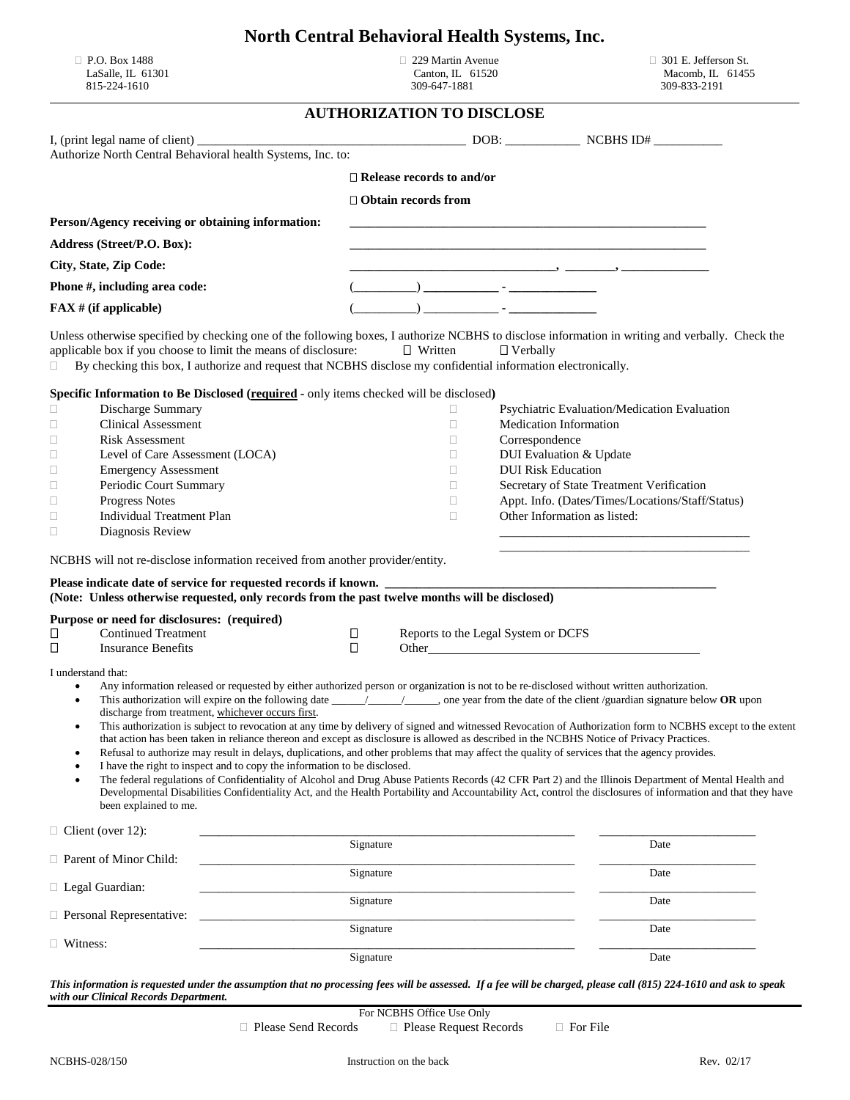|  |  | <b>North Central Behavioral Health Systems, Inc.</b> |  |  |  |
|--|--|------------------------------------------------------|--|--|--|
|--|--|------------------------------------------------------|--|--|--|

815-224-1610

 $\Box$  P.O. Box 1488 <br>LaSalle, IL 61301 Canton, IL 61520

229 Martin Avenue<br>
Canton, IL 61520  $\Box$  301 E. Jefferson St.<br>
Macomb, IL 61455<br>
309-647-1881 309-833-2191

## **AUTHORIZATION TO DISCLOSE**

|                                                           | Authorize North Central Behavioral health Systems, Inc. to:                                                                                                                                                                                                                                                                                                                                                                                                                                                                                                                                                                                                                                                                                                                                                                                                                                                                                                                                                                                                                                                                                                                                                                                                   |           |                                  |  |                                                                          |                                                  |
|-----------------------------------------------------------|---------------------------------------------------------------------------------------------------------------------------------------------------------------------------------------------------------------------------------------------------------------------------------------------------------------------------------------------------------------------------------------------------------------------------------------------------------------------------------------------------------------------------------------------------------------------------------------------------------------------------------------------------------------------------------------------------------------------------------------------------------------------------------------------------------------------------------------------------------------------------------------------------------------------------------------------------------------------------------------------------------------------------------------------------------------------------------------------------------------------------------------------------------------------------------------------------------------------------------------------------------------|-----------|----------------------------------|--|--------------------------------------------------------------------------|--------------------------------------------------|
|                                                           |                                                                                                                                                                                                                                                                                                                                                                                                                                                                                                                                                                                                                                                                                                                                                                                                                                                                                                                                                                                                                                                                                                                                                                                                                                                               |           | $\Box$ Release records to and/or |  |                                                                          |                                                  |
|                                                           |                                                                                                                                                                                                                                                                                                                                                                                                                                                                                                                                                                                                                                                                                                                                                                                                                                                                                                                                                                                                                                                                                                                                                                                                                                                               |           |                                  |  |                                                                          |                                                  |
|                                                           |                                                                                                                                                                                                                                                                                                                                                                                                                                                                                                                                                                                                                                                                                                                                                                                                                                                                                                                                                                                                                                                                                                                                                                                                                                                               |           | $\Box$ Obtain records from       |  |                                                                          |                                                  |
|                                                           | Person/Agency receiving or obtaining information:                                                                                                                                                                                                                                                                                                                                                                                                                                                                                                                                                                                                                                                                                                                                                                                                                                                                                                                                                                                                                                                                                                                                                                                                             |           |                                  |  |                                                                          |                                                  |
|                                                           | Address (Street/P.O. Box):                                                                                                                                                                                                                                                                                                                                                                                                                                                                                                                                                                                                                                                                                                                                                                                                                                                                                                                                                                                                                                                                                                                                                                                                                                    |           |                                  |  | <u> 1980 - Johann John Stone, mars an deus Amerikaansk kommunister (</u> |                                                  |
|                                                           | City, State, Zip Code:                                                                                                                                                                                                                                                                                                                                                                                                                                                                                                                                                                                                                                                                                                                                                                                                                                                                                                                                                                                                                                                                                                                                                                                                                                        |           |                                  |  |                                                                          |                                                  |
|                                                           | Phone #, including area code:                                                                                                                                                                                                                                                                                                                                                                                                                                                                                                                                                                                                                                                                                                                                                                                                                                                                                                                                                                                                                                                                                                                                                                                                                                 |           |                                  |  |                                                                          |                                                  |
| $FAX \# (if applicable)$                                  |                                                                                                                                                                                                                                                                                                                                                                                                                                                                                                                                                                                                                                                                                                                                                                                                                                                                                                                                                                                                                                                                                                                                                                                                                                                               |           |                                  |  |                                                                          |                                                  |
|                                                           |                                                                                                                                                                                                                                                                                                                                                                                                                                                                                                                                                                                                                                                                                                                                                                                                                                                                                                                                                                                                                                                                                                                                                                                                                                                               |           |                                  |  |                                                                          |                                                  |
| $\Box$                                                    | Unless otherwise specified by checking one of the following boxes, I authorize NCBHS to disclose information in writing and verbally. Check the<br>applicable box if you choose to limit the means of disclosure:<br>By checking this box, I authorize and request that NCBHS disclose my confidential information electronically.                                                                                                                                                                                                                                                                                                                                                                                                                                                                                                                                                                                                                                                                                                                                                                                                                                                                                                                            |           | $\Box$ Written                   |  | $\Box$ Verbally                                                          |                                                  |
|                                                           | Specific Information to Be Disclosed (required - only items checked will be disclosed)                                                                                                                                                                                                                                                                                                                                                                                                                                                                                                                                                                                                                                                                                                                                                                                                                                                                                                                                                                                                                                                                                                                                                                        |           |                                  |  |                                                                          |                                                  |
| □                                                         | Discharge Summary                                                                                                                                                                                                                                                                                                                                                                                                                                                                                                                                                                                                                                                                                                                                                                                                                                                                                                                                                                                                                                                                                                                                                                                                                                             |           | П                                |  |                                                                          | Psychiatric Evaluation/Medication Evaluation     |
| $\Box$                                                    | <b>Clinical Assessment</b>                                                                                                                                                                                                                                                                                                                                                                                                                                                                                                                                                                                                                                                                                                                                                                                                                                                                                                                                                                                                                                                                                                                                                                                                                                    |           | $\Box$                           |  | <b>Medication Information</b>                                            |                                                  |
| Ц                                                         | <b>Risk Assessment</b>                                                                                                                                                                                                                                                                                                                                                                                                                                                                                                                                                                                                                                                                                                                                                                                                                                                                                                                                                                                                                                                                                                                                                                                                                                        |           | $\Box$                           |  | Correspondence                                                           |                                                  |
| $\Box$                                                    | Level of Care Assessment (LOCA)                                                                                                                                                                                                                                                                                                                                                                                                                                                                                                                                                                                                                                                                                                                                                                                                                                                                                                                                                                                                                                                                                                                                                                                                                               |           | $\Box$                           |  | DUI Evaluation & Update                                                  |                                                  |
| $\Box$                                                    | <b>Emergency Assessment</b>                                                                                                                                                                                                                                                                                                                                                                                                                                                                                                                                                                                                                                                                                                                                                                                                                                                                                                                                                                                                                                                                                                                                                                                                                                   |           | $\Box$                           |  | <b>DUI Risk Education</b>                                                |                                                  |
| Ц                                                         | Periodic Court Summary                                                                                                                                                                                                                                                                                                                                                                                                                                                                                                                                                                                                                                                                                                                                                                                                                                                                                                                                                                                                                                                                                                                                                                                                                                        |           | $\Box$                           |  |                                                                          | Secretary of State Treatment Verification        |
| □                                                         | Progress Notes                                                                                                                                                                                                                                                                                                                                                                                                                                                                                                                                                                                                                                                                                                                                                                                                                                                                                                                                                                                                                                                                                                                                                                                                                                                |           | $\Box$                           |  |                                                                          | Appt. Info. (Dates/Times/Locations/Staff/Status) |
| $\Box$                                                    | <b>Individual Treatment Plan</b>                                                                                                                                                                                                                                                                                                                                                                                                                                                                                                                                                                                                                                                                                                                                                                                                                                                                                                                                                                                                                                                                                                                                                                                                                              |           | $\Box$                           |  | Other Information as listed:                                             |                                                  |
| Ц                                                         | Diagnosis Review                                                                                                                                                                                                                                                                                                                                                                                                                                                                                                                                                                                                                                                                                                                                                                                                                                                                                                                                                                                                                                                                                                                                                                                                                                              |           |                                  |  |                                                                          |                                                  |
|                                                           | NCBHS will not re-disclose information received from another provider/entity.                                                                                                                                                                                                                                                                                                                                                                                                                                                                                                                                                                                                                                                                                                                                                                                                                                                                                                                                                                                                                                                                                                                                                                                 |           |                                  |  |                                                                          |                                                  |
|                                                           | Please indicate date of service for requested records if known.<br>(Note: Unless otherwise requested, only records from the past twelve months will be disclosed)                                                                                                                                                                                                                                                                                                                                                                                                                                                                                                                                                                                                                                                                                                                                                                                                                                                                                                                                                                                                                                                                                             |           |                                  |  |                                                                          |                                                  |
|                                                           | Purpose or need for disclosures: (required)                                                                                                                                                                                                                                                                                                                                                                                                                                                                                                                                                                                                                                                                                                                                                                                                                                                                                                                                                                                                                                                                                                                                                                                                                   |           |                                  |  |                                                                          |                                                  |
| □                                                         | <b>Continued Treatment</b>                                                                                                                                                                                                                                                                                                                                                                                                                                                                                                                                                                                                                                                                                                                                                                                                                                                                                                                                                                                                                                                                                                                                                                                                                                    | $\Box$    |                                  |  | Reports to the Legal System or DCFS                                      |                                                  |
| □                                                         | <b>Insurance Benefits</b>                                                                                                                                                                                                                                                                                                                                                                                                                                                                                                                                                                                                                                                                                                                                                                                                                                                                                                                                                                                                                                                                                                                                                                                                                                     | $\Box$    |                                  |  |                                                                          |                                                  |
| I understand that:<br>$\bullet$<br>$\bullet$<br>$\bullet$ | Any information released or requested by either authorized person or organization is not to be re-disclosed without written authorization.<br>This authorization will expire on the following date $\frac{1}{\sqrt{1-\frac{1}{n}}}\$ , one year from the date of the client /guardian signature below OR upon<br>discharge from treatment, whichever occurs first.<br>This authorization is subject to revocation at any time by delivery of signed and witnessed Revocation of Authorization form to NCBHS except to the extent<br>that action has been taken in reliance thereon and except as disclosure is allowed as described in the NCBHS Notice of Privacy Practices.<br>Refusal to authorize may result in delays, duplications, and other problems that may affect the quality of services that the agency provides.<br>I have the right to inspect and to copy the information to be disclosed.<br>The federal regulations of Confidentiality of Alcohol and Drug Abuse Patients Records (42 CFR Part 2) and the Illinois Department of Mental Health and<br>Developmental Disabilities Confidentiality Act, and the Health Portability and Accountability Act, control the disclosures of information and that they have<br>been explained to me. |           |                                  |  |                                                                          |                                                  |
|                                                           | $\Box$ Client (over 12):                                                                                                                                                                                                                                                                                                                                                                                                                                                                                                                                                                                                                                                                                                                                                                                                                                                                                                                                                                                                                                                                                                                                                                                                                                      | Signature |                                  |  |                                                                          | Date                                             |
| Parent of Minor Child:                                    |                                                                                                                                                                                                                                                                                                                                                                                                                                                                                                                                                                                                                                                                                                                                                                                                                                                                                                                                                                                                                                                                                                                                                                                                                                                               |           |                                  |  |                                                                          |                                                  |
| □ Legal Guardian:                                         |                                                                                                                                                                                                                                                                                                                                                                                                                                                                                                                                                                                                                                                                                                                                                                                                                                                                                                                                                                                                                                                                                                                                                                                                                                                               | Signature |                                  |  |                                                                          | Date                                             |
|                                                           |                                                                                                                                                                                                                                                                                                                                                                                                                                                                                                                                                                                                                                                                                                                                                                                                                                                                                                                                                                                                                                                                                                                                                                                                                                                               | Signature |                                  |  | Date                                                                     |                                                  |
| <b>D</b> Personal Representative:                         |                                                                                                                                                                                                                                                                                                                                                                                                                                                                                                                                                                                                                                                                                                                                                                                                                                                                                                                                                                                                                                                                                                                                                                                                                                                               |           |                                  |  |                                                                          |                                                  |
|                                                           |                                                                                                                                                                                                                                                                                                                                                                                                                                                                                                                                                                                                                                                                                                                                                                                                                                                                                                                                                                                                                                                                                                                                                                                                                                                               | Signature |                                  |  |                                                                          | Date                                             |
| $\Box$ Witness:                                           |                                                                                                                                                                                                                                                                                                                                                                                                                                                                                                                                                                                                                                                                                                                                                                                                                                                                                                                                                                                                                                                                                                                                                                                                                                                               | Signature |                                  |  |                                                                          | Date                                             |
|                                                           |                                                                                                                                                                                                                                                                                                                                                                                                                                                                                                                                                                                                                                                                                                                                                                                                                                                                                                                                                                                                                                                                                                                                                                                                                                                               |           |                                  |  |                                                                          |                                                  |

*This information is requested under the assumption that no processing fees will be assessed. If a fee will be charged, please call (815) 224-1610 and ask to speak with our Clinical Records Department.*

For NCBHS Office Use Only  $\Box$  Please Send Records  $\Box$  Please Request Records  $\Box$  For File